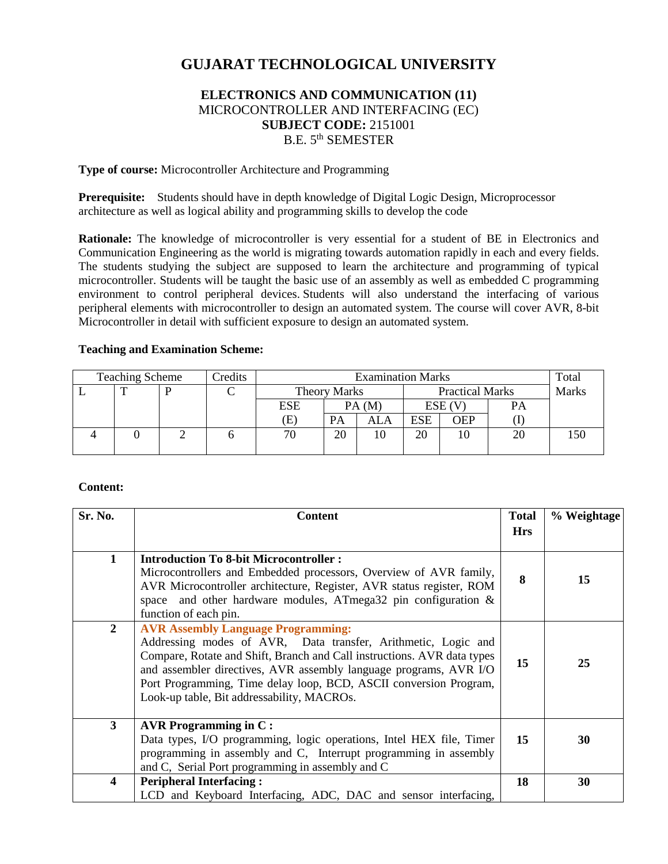# **GUJARAT TECHNOLOGICAL UNIVERSITY**

# **ELECTRONICS AND COMMUNICATION (11)** MICROCONTROLLER AND INTERFACING (EC) **SUBJECT CODE:** 2151001 B.E. 5<sup>th</sup> SEMESTER

**Type of course:** Microcontroller Architecture and Programming

**Prerequisite:** Students should have in depth knowledge of Digital Logic Design, Microprocessor architecture as well as logical ability and programming skills to develop the code

**Rationale:** The knowledge of microcontroller is very essential for a student of BE in Electronics and Communication Engineering as the world is migrating towards automation rapidly in each and every fields. The students studying the subject are supposed to learn the architecture and programming of typical microcontroller. Students will be taught the basic use of an assembly as well as embedded C programming environment to control peripheral devices. Students will also understand the interfacing of various peripheral elements with microcontroller to design an automated system. The course will cover AVR, 8-bit Microcontroller in detail with sufficient exposure to design an automated system.

#### **Teaching and Examination Scheme:**

| <b>Teaching Scheme</b> |  |  | Credits | <b>Examination Marks</b> |                     |     |                        | Total      |    |              |
|------------------------|--|--|---------|--------------------------|---------------------|-----|------------------------|------------|----|--------------|
|                        |  |  |         |                          | <b>Theory Marks</b> |     | <b>Practical Marks</b> |            |    | <b>Marks</b> |
|                        |  |  |         | <b>ESE</b>               | PA(M)               |     | ESE (V                 |            | PA |              |
|                        |  |  |         | Œ.                       | PA                  | ALA | ESE                    | <b>OEP</b> |    |              |
|                        |  |  |         | 70                       | 20                  | 10  | 20                     | 10         |    |              |
|                        |  |  |         |                          |                     |     |                        |            |    |              |

#### **Content:**

| Sr. No.                 | <b>Content</b>                                                                                                                                                                                                                                                                                                                                                                | <b>Total</b> | % Weightage |
|-------------------------|-------------------------------------------------------------------------------------------------------------------------------------------------------------------------------------------------------------------------------------------------------------------------------------------------------------------------------------------------------------------------------|--------------|-------------|
|                         |                                                                                                                                                                                                                                                                                                                                                                               | <b>Hrs</b>   |             |
| $\mathbf{1}$            | <b>Introduction To 8-bit Microcontroller:</b><br>Microcontrollers and Embedded processors, Overview of AVR family,<br>AVR Microcontroller architecture, Register, AVR status register, ROM<br>space and other hardware modules, ATmega32 pin configuration $\&$<br>function of each pin.                                                                                      | 8            | 15          |
| $\overline{2}$          | <b>AVR Assembly Language Programming:</b><br>Addressing modes of AVR, Data transfer, Arithmetic, Logic and<br>Compare, Rotate and Shift, Branch and Call instructions. AVR data types<br>and assembler directives, AVR assembly language programs, AVR I/O<br>Port Programming, Time delay loop, BCD, ASCII conversion Program,<br>Look-up table, Bit addressability, MACROs. | 15           | 25          |
| $\mathbf{3}$            | AVR Programming in $C$ :<br>Data types, I/O programming, logic operations, Intel HEX file, Timer<br>programming in assembly and C, Interrupt programming in assembly<br>and C, Serial Port programming in assembly and C                                                                                                                                                      | 15           | 30          |
| $\overline{\mathbf{4}}$ | <b>Peripheral Interfacing:</b><br>LCD and Keyboard Interfacing, ADC, DAC and sensor interfacing,                                                                                                                                                                                                                                                                              | 18           | 30          |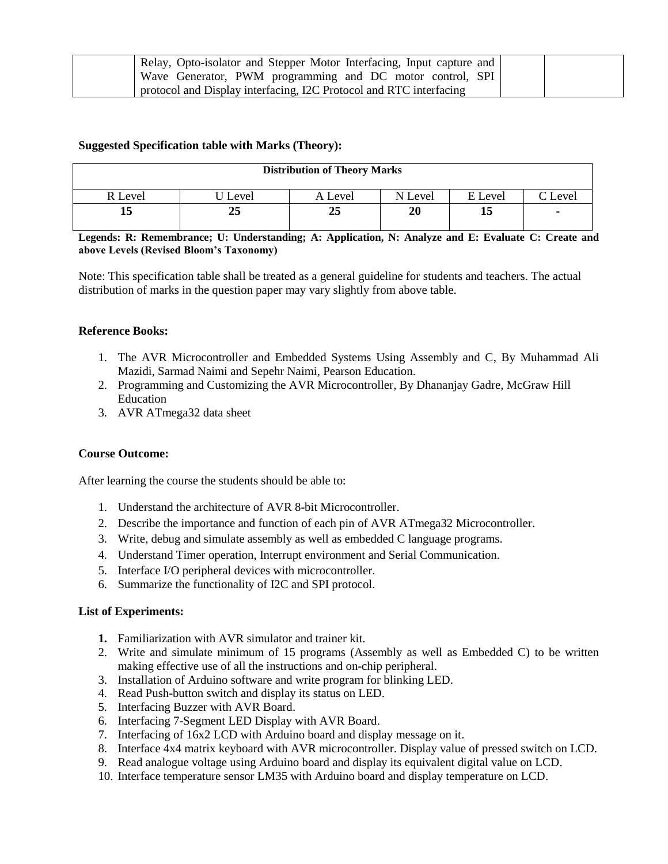| Relay, Opto-isolator and Stepper Motor Interfacing, Input capture and |  |
|-----------------------------------------------------------------------|--|
| Wave Generator, PWM programming and DC motor control, SPI             |  |
| protocol and Display interfacing, I2C Protocol and RTC interfacing    |  |

## **Suggested Specification table with Marks (Theory):**

| <b>Distribution of Theory Marks</b> |       |         |         |         |                 |  |  |
|-------------------------------------|-------|---------|---------|---------|-----------------|--|--|
| R Level                             | Level | A Level | N Level | E Level | $\degree$ Level |  |  |
| ıν                                  | 25    | 25      | 20      | 15      | ۰               |  |  |

**Legends: R: Remembrance; U: Understanding; A: Application, N: Analyze and E: Evaluate C: Create and above Levels (Revised Bloom's Taxonomy)**

Note: This specification table shall be treated as a general guideline for students and teachers. The actual distribution of marks in the question paper may vary slightly from above table.

#### **Reference Books:**

- 1. The AVR Microcontroller and Embedded Systems Using Assembly and C, By Muhammad Ali Mazidi, Sarmad Naimi and Sepehr Naimi, Pearson Education.
- 2. Programming and Customizing the AVR Microcontroller, By Dhananjay Gadre, McGraw Hill Education
- 3. AVR ATmega32 data sheet

#### **Course Outcome:**

After learning the course the students should be able to:

- 1. Understand the architecture of AVR 8-bit Microcontroller.
- 2. Describe the importance and function of each pin of AVR ATmega32 Microcontroller.
- 3. Write, debug and simulate assembly as well as embedded C language programs.
- 4. Understand Timer operation, Interrupt environment and Serial Communication.
- 5. Interface I/O peripheral devices with microcontroller.
- 6. Summarize the functionality of I2C and SPI protocol.

#### **List of Experiments:**

- **1.** Familiarization with AVR simulator and trainer kit.
- 2. Write and simulate minimum of 15 programs (Assembly as well as Embedded C) to be written making effective use of all the instructions and on-chip peripheral.
- 3. Installation of Arduino software and write program for blinking LED.
- 4. Read Push-button switch and display its status on LED.
- 5. Interfacing Buzzer with AVR Board.
- 6. Interfacing 7-Segment LED Display with AVR Board.
- 7. Interfacing of 16x2 LCD with Arduino board and display message on it.
- 8. Interface 4x4 matrix keyboard with AVR microcontroller. Display value of pressed switch on LCD.
- 9. Read analogue voltage using Arduino board and display its equivalent digital value on LCD.
- 10. Interface temperature sensor LM35 with Arduino board and display temperature on LCD.